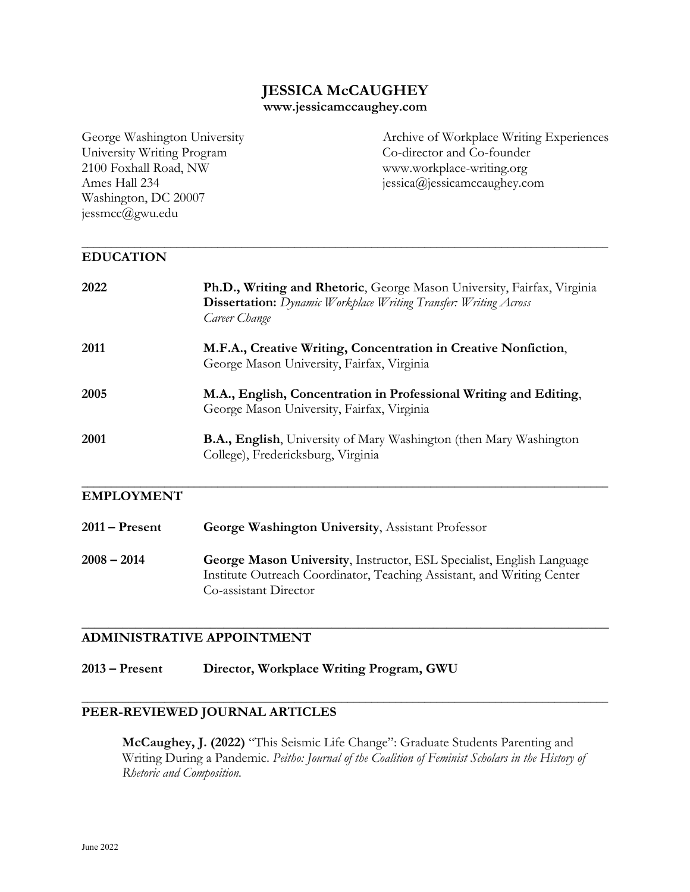# **JESSICA McCAUGHEY**

#### **www.jessicamccaughey.com**

University Writing Program Co-director and Co-founder 2100 Foxhall Road, NW www.workplace-writing.org Ames Hall 234 jessica@jessicamccaughey.com Washington, DC 20007 jessmcc@gwu.edu

George Washington University Archive of Workplace Writing Experiences

#### **\_\_\_\_\_\_\_\_\_\_\_\_\_\_\_\_\_\_\_\_\_\_\_\_\_\_\_\_\_\_\_\_\_\_\_\_\_\_\_\_\_\_\_\_\_\_\_\_\_\_\_\_\_\_\_\_\_\_\_\_\_\_\_\_\_\_\_\_\_\_\_\_\_\_\_\_\_\_\_\_\_\_\_\_\_\_\_\_\_ EDUCATION**

| 2022 | Ph.D., Writing and Rhetoric, George Mason University, Fairfax, Virginia<br><b>Dissertation:</b> Dynamic Workplace Writing Transfer: Writing Across<br>Career Change |
|------|---------------------------------------------------------------------------------------------------------------------------------------------------------------------|
| 2011 | M.F.A., Creative Writing, Concentration in Creative Nonfiction,<br>George Mason University, Fairfax, Virginia                                                       |
| 2005 | M.A., English, Concentration in Professional Writing and Editing,<br>George Mason University, Fairfax, Virginia                                                     |
| 2001 | <b>B.A., English</b> , University of Mary Washington (then Mary Washington<br>College), Fredericksburg, Virginia                                                    |

### **EMPLOYMENT**

**2011 – Present George Washington University**, Assistant Professor **2008 – 2014 George Mason University**, Instructor, ESL Specialist, English Language Institute Outreach Coordinator, Teaching Assistant, and Writing Center Co-assistant Director

**\_\_\_\_\_\_\_\_\_\_\_\_\_\_\_\_\_\_\_\_\_\_\_\_\_\_\_\_\_\_\_\_\_\_\_\_\_\_\_\_\_\_\_\_\_\_\_\_\_\_\_\_\_\_\_\_\_\_\_\_\_\_\_\_\_\_\_\_\_\_\_\_\_\_\_\_\_\_\_\_\_\_\_\_\_\_\_\_\_**

## **\_\_\_\_\_\_\_\_\_\_\_\_\_\_\_\_\_\_\_\_\_\_\_\_\_\_\_\_\_\_\_\_\_\_\_\_\_\_\_\_\_\_\_\_\_\_\_\_\_\_\_\_\_\_\_\_\_\_\_\_\_\_\_\_\_\_\_\_\_\_\_\_\_\_\_\_\_\_ ADMINISTRATIVE APPOINTMENT**

**2013 – Present Director, Workplace Writing Program, GWU**

## **PEER-REVIEWED JOURNAL ARTICLES**

**McCaughey, J. (2022)** "This Seismic Life Change": Graduate Students Parenting and Writing During a Pandemic. *Peitho: Journal of the Coalition of Feminist Scholars in the History of Rhetoric and Composition.*

**\_\_\_\_\_\_\_\_\_\_\_\_\_\_\_\_\_\_\_\_\_\_\_\_\_\_\_\_\_\_\_\_\_\_\_\_\_\_\_\_\_\_\_\_\_\_\_\_\_\_\_\_\_\_\_\_\_\_\_\_\_\_\_\_\_\_\_\_\_\_\_\_\_\_\_\_\_\_\_\_\_\_\_\_\_\_\_\_\_**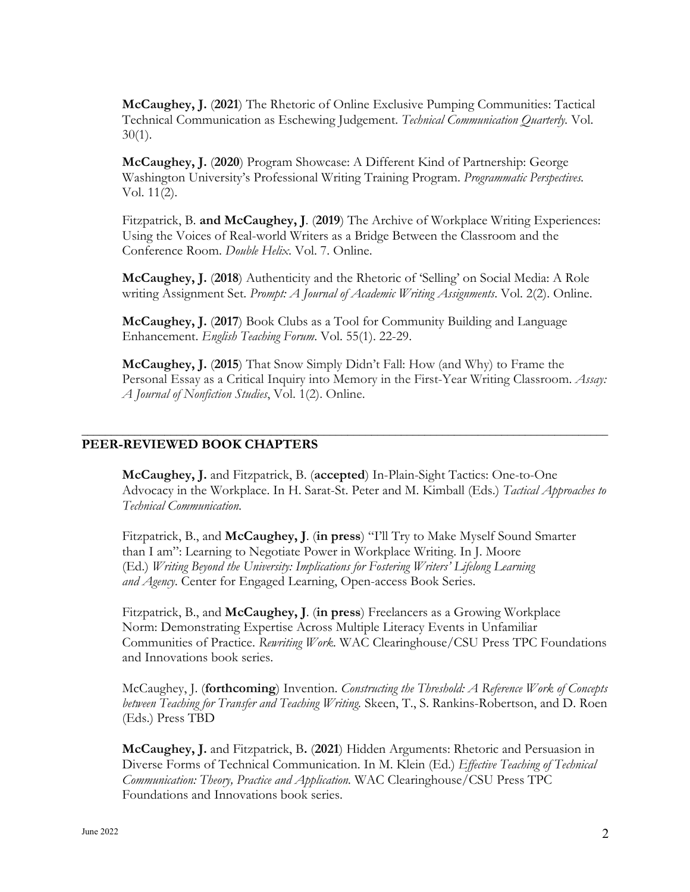**McCaughey, J.** (**2021**) The Rhetoric of Online Exclusive Pumping Communities: Tactical Technical Communication as Eschewing Judgement. *Technical Communication Quarterly.* Vol.  $30(1)$ .

**McCaughey, J.** (**2020**) Program Showcase: A Different Kind of Partnership: George Washington University's Professional Writing Training Program. *Programmatic Perspectives.*  Vol. 11(2).

Fitzpatrick, B. **and McCaughey, J**. (**2019**) The Archive of Workplace Writing Experiences: Using the Voices of Real-world Writers as a Bridge Between the Classroom and the Conference Room. *Double Helix*. Vol. 7. Online.

**McCaughey, J.** (**2018**) Authenticity and the Rhetoric of 'Selling' on Social Media: A Role writing Assignment Set. *Prompt: A Journal of Academic Writing Assignments*. Vol. 2(2). Online.

**McCaughey, J.** (**2017**) Book Clubs as a Tool for Community Building and Language Enhancement. *English Teaching Forum*. Vol. 55(1). 22-29.

**\_\_\_\_\_\_\_\_\_\_\_\_\_\_\_\_\_\_\_\_\_\_\_\_\_\_\_\_\_\_\_\_\_\_\_\_\_\_\_\_\_\_\_\_\_\_\_\_\_\_\_\_\_\_\_\_\_\_\_\_\_\_\_\_\_\_\_\_\_\_\_\_\_\_\_\_\_\_\_\_\_\_\_\_\_\_\_\_\_**

**McCaughey, J.** (**2015**) That Snow Simply Didn't Fall: How (and Why) to Frame the Personal Essay as a Critical Inquiry into Memory in the First-Year Writing Classroom. *Assay: A Journal of Nonfiction Studies*, Vol. 1(2). Online.

## **PEER-REVIEWED BOOK CHAPTERS**

**McCaughey, J.** and Fitzpatrick, B. (**accepted**) In-Plain-Sight Tactics: One-to-One Advocacy in the Workplace. In H. Sarat-St. Peter and M. Kimball (Eds.) *Tactical Approaches to Technical Communication*.

Fitzpatrick, B., and **McCaughey, J**. (**in press**) "I'll Try to Make Myself Sound Smarter than I am": Learning to Negotiate Power in Workplace Writing. In J. Moore (Ed.) *Writing Beyond the University: Implications for Fostering Writers' Lifelong Learning and Agency*. Center for Engaged Learning, Open-access Book Series.

Fitzpatrick, B., and **McCaughey, J**. (**in press**) Freelancers as a Growing Workplace Norm: Demonstrating Expertise Across Multiple Literacy Events in Unfamiliar Communities of Practice. *Rewriting Work.* WAC Clearinghouse/CSU Press TPC Foundations and Innovations book series.

McCaughey, J. (**forthcoming**) Invention. *Constructing the Threshold: A Reference Work of Concepts between Teaching for Transfer and Teaching Writing.* Skeen, T., S. Rankins-Robertson, and D. Roen (Eds.) Press TBD

**McCaughey, J.** and Fitzpatrick, B**.** (**2021**) Hidden Arguments: Rhetoric and Persuasion in Diverse Forms of Technical Communication. In M. Klein (Ed.) *Effective Teaching of Technical Communication: Theory, Practice and Application.* WAC Clearinghouse/CSU Press TPC Foundations and Innovations book series.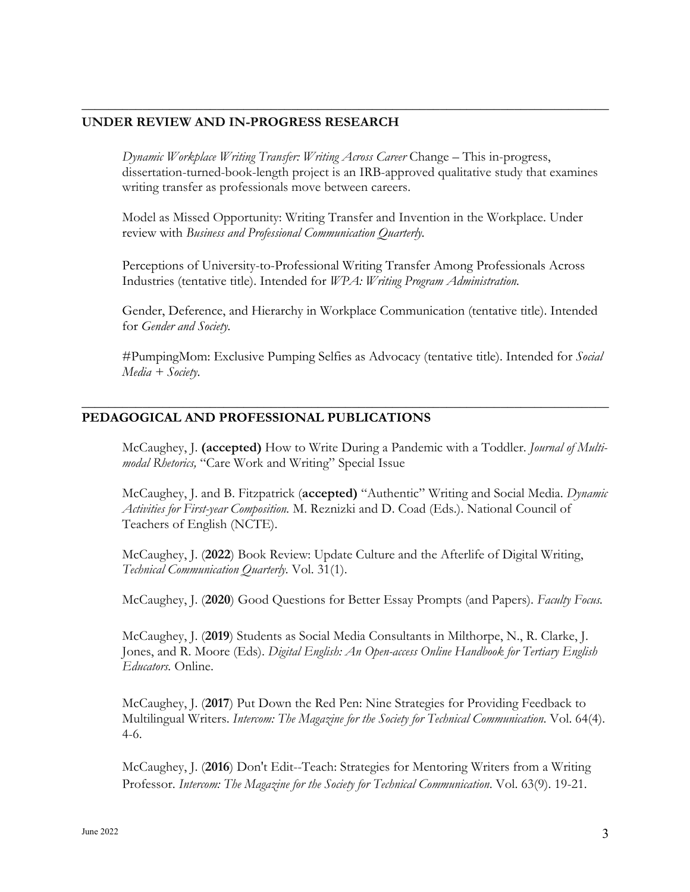## **UNDER REVIEW AND IN-PROGRESS RESEARCH**

*Dynamic Workplace Writing Transfer: Writing Across Career* Change – This in-progress, dissertation-turned-book-length project is an IRB-approved qualitative study that examines writing transfer as professionals move between careers.

**\_\_\_\_\_\_\_\_\_\_\_\_\_\_\_\_\_\_\_\_\_\_\_\_\_\_\_\_\_\_\_\_\_\_\_\_\_\_\_\_\_\_\_\_\_\_\_\_\_\_\_\_\_\_\_\_\_\_\_\_\_\_\_\_\_\_\_\_\_\_\_\_\_\_\_\_\_\_**

Model as Missed Opportunity: Writing Transfer and Invention in the Workplace. Under review with *Business and Professional Communication Quarterly.*

Perceptions of University-to-Professional Writing Transfer Among Professionals Across Industries (tentative title). Intended for *WPA: Writing Program Administration.*

Gender, Deference, and Hierarchy in Workplace Communication (tentative title). Intended for *Gender and Society.*

#PumpingMom: Exclusive Pumping Selfies as Advocacy (tentative title). Intended for *Social Media + Society*.

**\_\_\_\_\_\_\_\_\_\_\_\_\_\_\_\_\_\_\_\_\_\_\_\_\_\_\_\_\_\_\_\_\_\_\_\_\_\_\_\_\_\_\_\_\_\_\_\_\_\_\_\_\_\_\_\_\_\_\_\_\_\_\_\_\_\_\_\_\_\_\_\_\_\_\_\_\_\_**

## **PEDAGOGICAL AND PROFESSIONAL PUBLICATIONS**

McCaughey, J. **(accepted)** How to Write During a Pandemic with a Toddler. *Journal of Multimodal Rhetorics,* "Care Work and Writing" Special Issue

McCaughey, J. and B. Fitzpatrick (**accepted)** "Authentic" Writing and Social Media. *Dynamic Activities for First-year Composition.* M. Reznizki and D. Coad (Eds.). National Council of Teachers of English (NCTE).

McCaughey, J. (**2022**) Book Review: Update Culture and the Afterlife of Digital Writing, *Technical Communication Quarterly.* Vol. 31(1).

McCaughey, J. (**2020**) Good Questions for Better Essay Prompts (and Papers). *Faculty Focus.* 

McCaughey, J. (**2019**) Students as Social Media Consultants in Milthorpe, N., R. Clarke, J. Jones, and R. Moore (Eds). *Digital English: An Open-access Online Handbook for Tertiary English Educators.* Online.

McCaughey, J. (**2017**) Put Down the Red Pen: Nine Strategies for Providing Feedback to Multilingual Writers. *Intercom: The Magazine for the Society for Technical Communication*. Vol. 64(4). 4-6.

McCaughey, J. (**2016**) Don't Edit--Teach: Strategies for Mentoring Writers from a Writing Professor. *Intercom: The Magazine for the Society for Technical Communication*. Vol. 63(9). 19-21.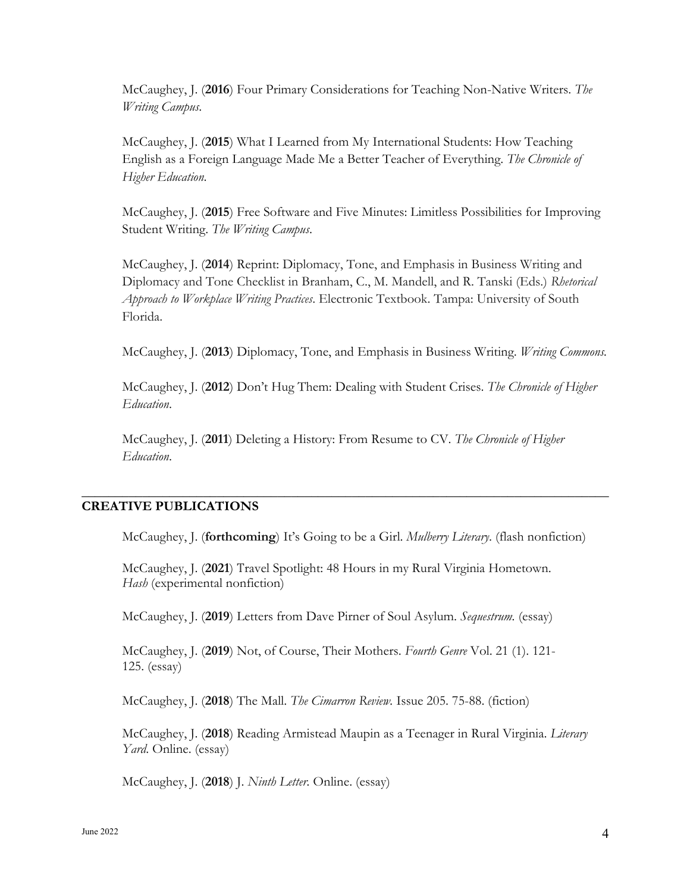McCaughey, J. (**2016**) Four Primary Considerations for Teaching Non-Native Writers. *The Writing Campus*.

McCaughey, J. (**2015**) What I Learned from My International Students: How Teaching English as a Foreign Language Made Me a Better Teacher of Everything. *The Chronicle of Higher Education*.

McCaughey, J. (**2015**) Free Software and Five Minutes: Limitless Possibilities for Improving Student Writing. *The Writing Campus*.

McCaughey, J. (**2014**) Reprint: Diplomacy, Tone, and Emphasis in Business Writing and Diplomacy and Tone Checklist in Branham, C., M. Mandell, and R. Tanski (Eds.) *Rhetorical Approach to Workplace Writing Practices*. Electronic Textbook. Tampa: University of South Florida.

McCaughey, J. (**2013**) Diplomacy, Tone, and Emphasis in Business Writing. *Writing Commons.* 

McCaughey, J. (**2012**) Don't Hug Them: Dealing with Student Crises. *The Chronicle of Higher Education*.

McCaughey, J. (**2011**) Deleting a History: From Resume to CV. *The Chronicle of Higher Education*.

**\_\_\_\_\_\_\_\_\_\_\_\_\_\_\_\_\_\_\_\_\_\_\_\_\_\_\_\_\_\_\_\_\_\_\_\_\_\_\_\_\_\_\_\_\_\_\_\_\_\_\_\_\_\_\_\_\_\_\_\_\_\_\_\_\_\_\_\_\_\_\_\_\_\_\_\_\_\_**

## **CREATIVE PUBLICATIONS**

McCaughey, J. (**forthcoming**) It's Going to be a Girl. *Mulberry Literary*. (flash nonfiction)

McCaughey, J. (**2021**) Travel Spotlight: 48 Hours in my Rural Virginia Hometown. *Hash* (experimental nonfiction)

McCaughey, J. (**2019**) Letters from Dave Pirner of Soul Asylum. *Sequestrum.* (essay)

McCaughey, J. (**2019**) Not, of Course, Their Mothers. *Fourth Genre* Vol. 21 (1). 121- 125. (essay)

McCaughey, J. (**2018**) The Mall. *The Cimarron Review.* Issue 205. 75-88. (fiction)

McCaughey, J. (**2018**) Reading Armistead Maupin as a Teenager in Rural Virginia. *Literary Yard*. Online. (essay)

McCaughey, J. (**2018**) J. *Ninth Letter.* Online. (essay)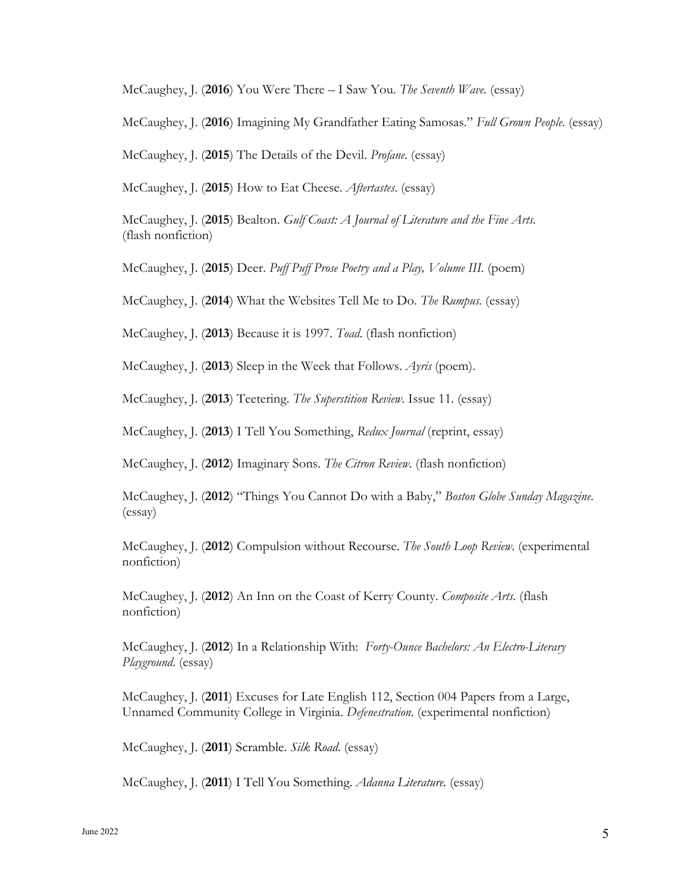McCaughey, J. (**2016**) You Were There – I Saw You. *The Seventh Wave.* (essay)

McCaughey, J. (**2016**) Imagining My Grandfather Eating Samosas." *Full Grown People*. (essay)

McCaughey, J. (**2015**) The Details of the Devil. *Profane*. (essay)

McCaughey, J. (**2015**) How to Eat Cheese. *Aftertastes*. (essay)

McCaughey, J. (**2015**) Bealton. *Gulf Coast: A Journal of Literature and the Fine Arts.* (flash nonfiction)

McCaughey, J. (**2015**) Deer. *Puff Puff Prose Poetry and a Play, Volume III.* (poem)

McCaughey, J. (**2014**) What the Websites Tell Me to Do. *The Rumpus.* (essay)

McCaughey, J. (**2013**) Because it is 1997. *Toad*. (flash nonfiction)

McCaughey, J. (**2013**) Sleep in the Week that Follows. *Ayris* (poem).

McCaughey, J. (**2013**) Teetering. *The Superstition Review*. Issue 11. (essay)

McCaughey, J. (**2013**) I Tell You Something, *Redux Journal* (reprint, essay)

McCaughey, J. (**2012**) Imaginary Sons. *The Citron Review*. (flash nonfiction)

McCaughey, J. (**2012**) "Things You Cannot Do with a Baby," *Boston Globe Sunday Magazine*. (essay)

McCaughey, J. (**2012**) Compulsion without Recourse. *The South Loop Review*. (experimental nonfiction)

McCaughey, J. (**2012**) An Inn on the Coast of Kerry County. *Composite Arts.* (flash nonfiction)

McCaughey, J. (**2012**) In a Relationship With: *Forty-Ounce Bachelors: An Electro-Literary Playground*. (essay)

McCaughey, J. (**2011**) Excuses for Late English 112, Section 004 Papers from a Large, Unnamed Community College in Virginia. *Defenestration*. (experimental nonfiction)

McCaughey, J. (**2011**) Scramble. *Silk Road*. (essay)

McCaughey, J. (**2011**) I Tell You Something. *Adanna Literature.* (essay)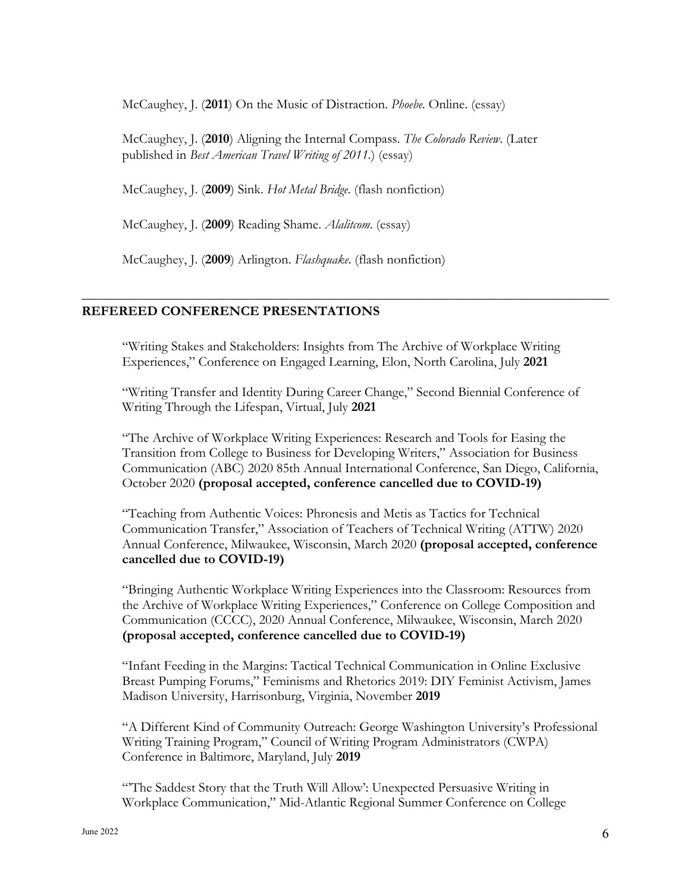McCaughey, J. (**2011**) On the Music of Distraction. *Phoebe*. Online. (essay)

McCaughey, J. (**2010**) Aligning the Internal Compass. *The Colorado Review*. (Later published in *Best American Travel Writing of 2011.*) (essay)

McCaughey, J. (**2009**) Sink. *Hot Metal Bridge*. (flash nonfiction)

McCaughey, J. (**2009**) Reading Shame. *Alalitcom*. (essay)

McCaughey, J. (**2009**) Arlington. *Flashquake*. (flash nonfiction)

## **REFEREED CONFERENCE PRESENTATIONS**

"Writing Stakes and Stakeholders: Insights from The Archive of Workplace Writing Experiences," Conference on Engaged Learning, Elon, North Carolina, July **2021**

**\_\_\_\_\_\_\_\_\_\_\_\_\_\_\_\_\_\_\_\_\_\_\_\_\_\_\_\_\_\_\_\_\_\_\_\_\_\_\_\_\_\_\_\_\_\_\_\_\_\_\_\_\_\_\_\_\_\_\_\_\_\_\_\_\_\_\_\_\_\_\_\_\_\_\_\_\_\_**

"Writing Transfer and Identity During Career Change," Second Biennial Conference of Writing Through the Lifespan, Virtual, July **2021**

"The Archive of Workplace Writing Experiences: Research and Tools for Easing the Transition from College to Business for Developing Writers," Association for Business Communication (ABC) 2020 85th Annual International Conference, San Diego, California, October 2020 **(proposal accepted, conference cancelled due to COVID-19)**

"Teaching from Authentic Voices: Phronesis and Metis as Tactics for Technical Communication Transfer," Association of Teachers of Technical Writing (ATTW) 2020 Annual Conference, Milwaukee, Wisconsin, March 2020 **(proposal accepted, conference cancelled due to COVID-19)**

"Bringing Authentic Workplace Writing Experiences into the Classroom: Resources from the Archive of Workplace Writing Experiences," Conference on College Composition and Communication (CCCC), 2020 Annual Conference, Milwaukee, Wisconsin, March 2020 **(proposal accepted, conference cancelled due to COVID-19)**

"Infant Feeding in the Margins: Tactical Technical Communication in Online Exclusive Breast Pumping Forums," Feminisms and Rhetorics 2019: DIY Feminist Activism, James Madison University, Harrisonburg, Virginia, November **2019**

"A Different Kind of Community Outreach: George Washington University's Professional Writing Training Program," Council of Writing Program Administrators (CWPA) Conference in Baltimore, Maryland, July **2019**

"'The Saddest Story that the Truth Will Allow': Unexpected Persuasive Writing in Workplace Communication," Mid-Atlantic Regional Summer Conference on College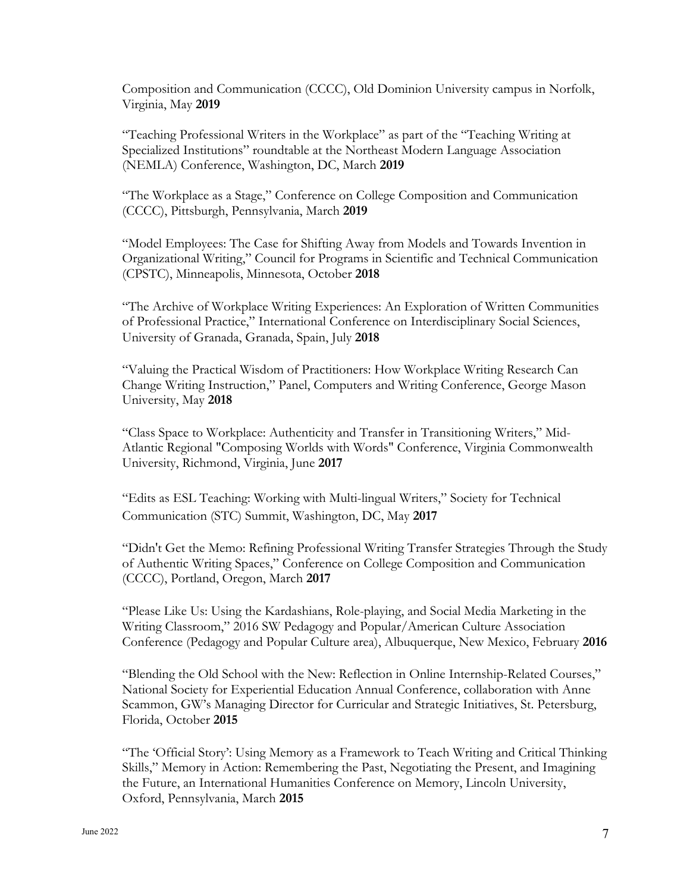Composition and Communication (CCCC), Old Dominion University campus in Norfolk, Virginia, May **2019**

"Teaching Professional Writers in the Workplace" as part of the "Teaching Writing at Specialized Institutions" roundtable at the Northeast Modern Language Association (NEMLA) Conference, Washington, DC, March **2019**

"The Workplace as a Stage," Conference on College Composition and Communication (CCCC), Pittsburgh, Pennsylvania, March **2019**

"Model Employees: The Case for Shifting Away from Models and Towards Invention in Organizational Writing," Council for Programs in Scientific and Technical Communication (CPSTC), Minneapolis, Minnesota, October **2018**

"The Archive of Workplace Writing Experiences: An Exploration of Written Communities of Professional Practice," International Conference on Interdisciplinary Social Sciences, University of Granada, Granada, Spain, July **2018**

"Valuing the Practical Wisdom of Practitioners: How Workplace Writing Research Can Change Writing Instruction," Panel, Computers and Writing Conference, George Mason University, May **2018**

"Class Space to Workplace: Authenticity and Transfer in Transitioning Writers," Mid-Atlantic Regional "Composing Worlds with Words" Conference, Virginia Commonwealth University, Richmond, Virginia, June **2017**

"Edits as ESL Teaching: Working with Multi-lingual Writers," Society for Technical Communication (STC) Summit, Washington, DC, May **2017**

"Didn't Get the Memo: Refining Professional Writing Transfer Strategies Through the Study of Authentic Writing Spaces," Conference on College Composition and Communication (CCCC), Portland, Oregon, March **2017**

"Please Like Us: Using the Kardashians, Role-playing, and Social Media Marketing in the Writing Classroom," 2016 SW Pedagogy and Popular/American Culture Association Conference (Pedagogy and Popular Culture area), Albuquerque, New Mexico, February **2016**

"Blending the Old School with the New: Reflection in Online Internship-Related Courses," National Society for Experiential Education Annual Conference, collaboration with Anne Scammon, GW's Managing Director for Curricular and Strategic Initiatives, St. Petersburg, Florida, October **2015**

"The 'Official Story': Using Memory as a Framework to Teach Writing and Critical Thinking Skills," Memory in Action: Remembering the Past, Negotiating the Present, and Imagining the Future, an International Humanities Conference on Memory, Lincoln University, Oxford, Pennsylvania, March **2015**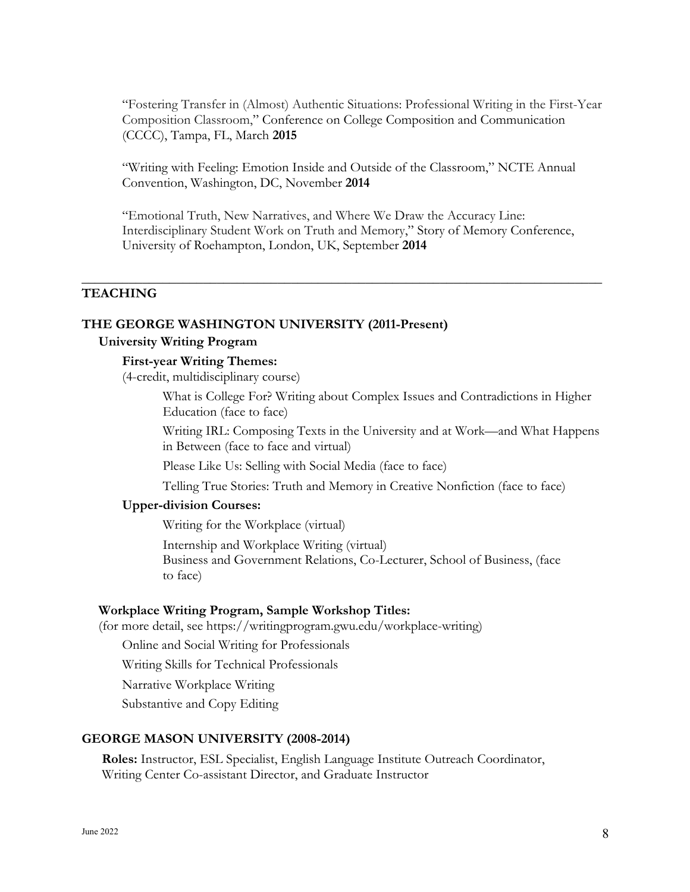"Fostering Transfer in (Almost) Authentic Situations: Professional Writing in the First-Year Composition Classroom," Conference on College Composition and Communication (CCCC), Tampa, FL, March **2015**

"Writing with Feeling: Emotion Inside and Outside of the Classroom," NCTE Annual Convention, Washington, DC, November **2014**

"Emotional Truth, New Narratives, and Where We Draw the Accuracy Line: Interdisciplinary Student Work on Truth and Memory," Story of Memory Conference, University of Roehampton, London, UK, September **2014**

**\_\_\_\_\_\_\_\_\_\_\_\_\_\_\_\_\_\_\_\_\_\_\_\_\_\_\_\_\_\_\_\_\_\_\_\_\_\_\_\_\_\_\_\_\_\_\_\_\_\_\_\_\_\_\_\_\_\_\_\_\_\_\_\_\_\_\_\_\_\_\_\_\_\_\_\_\_**

## **TEACHING**

#### **THE GEORGE WASHINGTON UNIVERSITY (2011-Present)**

#### **University Writing Program**

## **First-year Writing Themes:**

(4-credit, multidisciplinary course)

What is College For? Writing about Complex Issues and Contradictions in Higher Education (face to face)

Writing IRL: Composing Texts in the University and at Work—and What Happens in Between (face to face and virtual)

Please Like Us: Selling with Social Media (face to face)

Telling True Stories: Truth and Memory in Creative Nonfiction (face to face)

#### **Upper-division Courses:**

Writing for the Workplace (virtual)

Internship and Workplace Writing (virtual)

Business and Government Relations, Co-Lecturer, School of Business, (face to face)

#### **Workplace Writing Program, Sample Workshop Titles:**

(for more detail, see https://writingprogram.gwu.edu/workplace-writing)

Online and Social Writing for Professionals

Writing Skills for Technical Professionals

Narrative Workplace Writing

Substantive and Copy Editing

#### **GEORGE MASON UNIVERSITY (2008-2014)**

**Roles:** Instructor, ESL Specialist, English Language Institute Outreach Coordinator, Writing Center Co-assistant Director, and Graduate Instructor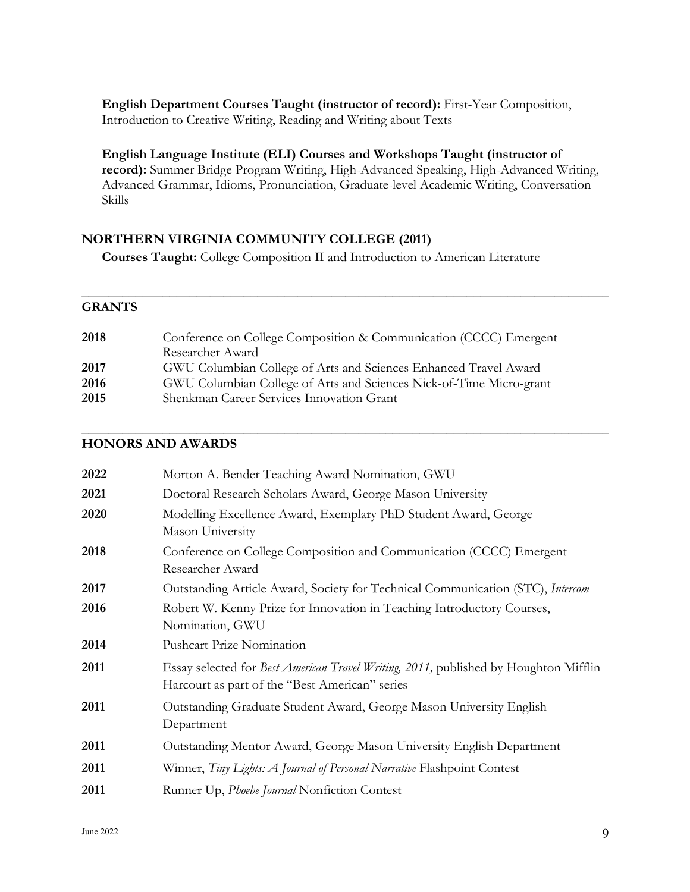**English Department Courses Taught (instructor of record):** First-Year Composition, Introduction to Creative Writing, Reading and Writing about Texts

**English Language Institute (ELI) Courses and Workshops Taught (instructor of record):** Summer Bridge Program Writing, High-Advanced Speaking, High-Advanced Writing, Advanced Grammar, Idioms, Pronunciation, Graduate-level Academic Writing, Conversation Skills

**\_\_\_\_\_\_\_\_\_\_\_\_\_\_\_\_\_\_\_\_\_\_\_\_\_\_\_\_\_\_\_\_\_\_\_\_\_\_\_\_\_\_\_\_\_\_\_\_\_\_\_\_\_\_\_\_\_\_\_\_\_\_\_\_\_\_\_\_\_\_\_\_\_\_\_\_\_\_**

**\_\_\_\_\_\_\_\_\_\_\_\_\_\_\_\_\_\_\_\_\_\_\_\_\_\_\_\_\_\_\_\_\_\_\_\_\_\_\_\_\_\_\_\_\_\_\_\_\_\_\_\_\_\_\_\_\_\_\_\_\_\_\_\_\_\_\_\_\_\_\_\_\_\_\_\_\_\_**

## **NORTHERN VIRGINIA COMMUNITY COLLEGE (2011)**

**Courses Taught:** College Composition II and Introduction to American Literature

## **GRANTS**

| 2018 | Conference on College Composition & Communication (CCCC) Emergent   |
|------|---------------------------------------------------------------------|
|      | Researcher Award                                                    |
| 2017 | GWU Columbian College of Arts and Sciences Enhanced Travel Award    |
| 2016 | GWU Columbian College of Arts and Sciences Nick-of-Time Micro-grant |
| 2015 | Shenkman Career Services Innovation Grant                           |
|      |                                                                     |

## **HONORS AND AWARDS**

| 2022 | Morton A. Bender Teaching Award Nomination, GWU                                                                                        |
|------|----------------------------------------------------------------------------------------------------------------------------------------|
| 2021 | Doctoral Research Scholars Award, George Mason University                                                                              |
| 2020 | Modelling Excellence Award, Exemplary PhD Student Award, George<br>Mason University                                                    |
| 2018 | Conference on College Composition and Communication (CCCC) Emergent<br>Researcher Award                                                |
| 2017 | Outstanding Article Award, Society for Technical Communication (STC), Intercom                                                         |
| 2016 | Robert W. Kenny Prize for Innovation in Teaching Introductory Courses,<br>Nomination, GWU                                              |
| 2014 | <b>Pushcart Prize Nomination</b>                                                                                                       |
| 2011 | Essay selected for Best American Travel Writing, 2011, published by Houghton Mifflin<br>Harcourt as part of the "Best American" series |
| 2011 | Outstanding Graduate Student Award, George Mason University English<br>Department                                                      |
| 2011 | Outstanding Mentor Award, George Mason University English Department                                                                   |
| 2011 | Winner, Tiny Lights: A Journal of Personal Narrative Flashpoint Contest                                                                |
| 2011 | Runner Up, Phoebe Journal Nonfiction Contest                                                                                           |
|      |                                                                                                                                        |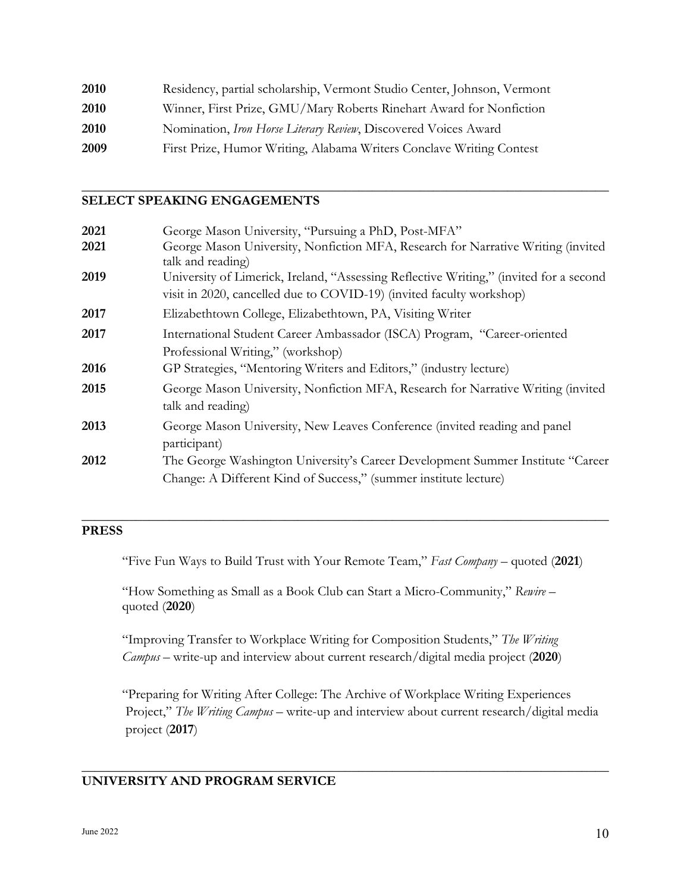| 2010 | Residency, partial scholarship, Vermont Studio Center, Johnson, Vermont |
|------|-------------------------------------------------------------------------|
| 2010 | Winner, First Prize, GMU/Mary Roberts Rinehart Award for Nonfiction     |
| 2010 | Nomination, Iron Horse Literary Review, Discovered Voices Award         |
| 2009 | First Prize, Humor Writing, Alabama Writers Conclave Writing Contest    |

## **SELECT SPEAKING ENGAGEMENTS**

| 2021 | George Mason University, "Pursuing a PhD, Post-MFA"                                                                                                            |
|------|----------------------------------------------------------------------------------------------------------------------------------------------------------------|
| 2021 | George Mason University, Nonfiction MFA, Research for Narrative Writing (invited<br>talk and reading)                                                          |
| 2019 | University of Limerick, Ireland, "Assessing Reflective Writing," (invited for a second<br>visit in 2020, cancelled due to COVID-19) (invited faculty workshop) |
| 2017 | Elizabethtown College, Elizabethtown, PA, Visiting Writer                                                                                                      |
| 2017 | International Student Career Ambassador (ISCA) Program, "Career-oriented<br>Professional Writing," (workshop)                                                  |
| 2016 | GP Strategies, "Mentoring Writers and Editors," (industry lecture)                                                                                             |
| 2015 | George Mason University, Nonfiction MFA, Research for Narrative Writing (invited<br>talk and reading)                                                          |
| 2013 | George Mason University, New Leaves Conference (invited reading and panel<br>participant)                                                                      |
| 2012 | The George Washington University's Career Development Summer Institute "Career"<br>Change: A Different Kind of Success," (summer institute lecture)            |

**\_\_\_\_\_\_\_\_\_\_\_\_\_\_\_\_\_\_\_\_\_\_\_\_\_\_\_\_\_\_\_\_\_\_\_\_\_\_\_\_\_\_\_\_\_\_\_\_\_\_\_\_\_\_\_\_\_\_\_\_\_\_\_\_\_\_\_\_\_\_\_\_\_\_\_\_\_\_**

## **PRESS**

"Five Fun Ways to Build Trust with Your Remote Team," *Fast Company* – quoted (**2021**)

**\_\_\_\_\_\_\_\_\_\_\_\_\_\_\_\_\_\_\_\_\_\_\_\_\_\_\_\_\_\_\_\_\_\_\_\_\_\_\_\_\_\_\_\_\_\_\_\_\_\_\_\_\_\_\_\_\_\_\_\_\_\_\_\_\_\_\_\_\_\_\_\_\_\_\_\_\_\_**

"How Something as Small as a Book Club can Start a Micro-Community," *Rewire* – quoted (**2020**)

"Improving Transfer to Workplace Writing for Composition Students," *The Writing Campus* – write-up and interview about current research/digital media project (**2020**)

"Preparing for Writing After College: The Archive of Workplace Writing Experiences Project," *The Writing Campus* – write-up and interview about current research/digital media project (**2017**)

**\_\_\_\_\_\_\_\_\_\_\_\_\_\_\_\_\_\_\_\_\_\_\_\_\_\_\_\_\_\_\_\_\_\_\_\_\_\_\_\_\_\_\_\_\_\_\_\_\_\_\_\_\_\_\_\_\_\_\_\_\_\_\_\_\_\_\_\_\_\_\_\_\_\_\_\_\_\_**

## **UNIVERSITY AND PROGRAM SERVICE**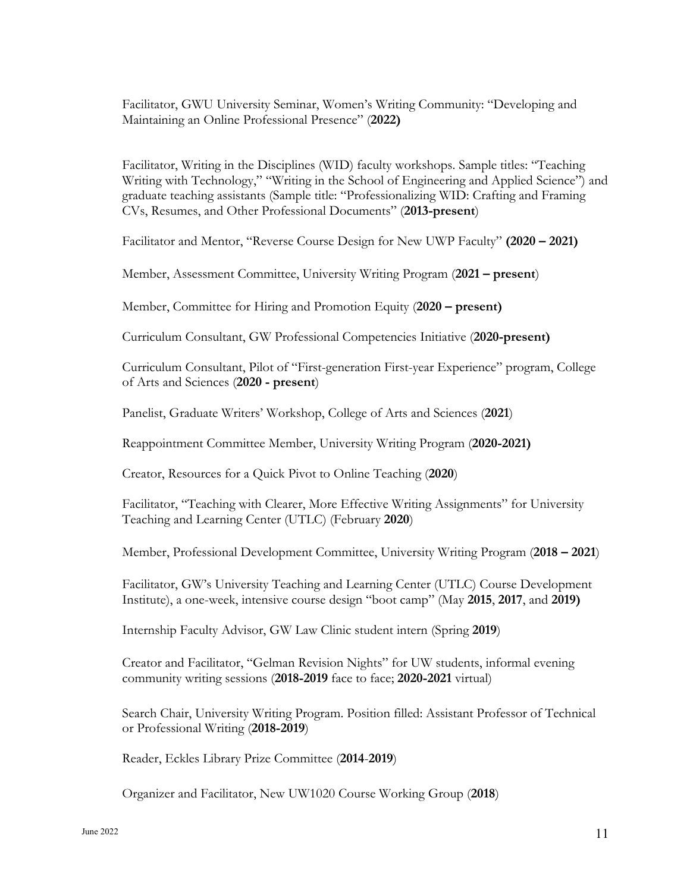Facilitator, GWU University Seminar, Women's Writing Community: "Developing and Maintaining an Online Professional Presence" (**2022)**

Facilitator, Writing in the Disciplines (WID) faculty workshops. Sample titles: "Teaching Writing with Technology," "Writing in the School of Engineering and Applied Science") and graduate teaching assistants (Sample title: "Professionalizing WID: Crafting and Framing CVs, Resumes, and Other Professional Documents" (**2013-present**)

Facilitator and Mentor, "Reverse Course Design for New UWP Faculty" **(2020 – 2021)**

Member, Assessment Committee, University Writing Program (**2021 – present**)

Member, Committee for Hiring and Promotion Equity (**2020 – present)**

Curriculum Consultant, GW Professional Competencies Initiative (**2020-present)**

Curriculum Consultant, Pilot of "First-generation First-year Experience" program, College of Arts and Sciences (**2020 - present**)

Panelist, Graduate Writers' Workshop, College of Arts and Sciences (**2021**)

Reappointment Committee Member, University Writing Program (**2020-2021)**

Creator, Resources for a Quick Pivot to Online Teaching (**2020**)

Facilitator, "Teaching with Clearer, More Effective Writing Assignments" for University Teaching and Learning Center (UTLC) (February **2020**)

Member, Professional Development Committee, University Writing Program (**2018 – 2021**)

Facilitator, GW's University Teaching and Learning Center (UTLC) Course Development Institute), a one-week, intensive course design "boot camp" (May **2015**, **2017**, and **2019)**

Internship Faculty Advisor, GW Law Clinic student intern (Spring **2019**)

Creator and Facilitator, "Gelman Revision Nights" for UW students, informal evening community writing sessions (**2018-2019** face to face; **2020-2021** virtual)

Search Chair, University Writing Program. Position filled: Assistant Professor of Technical or Professional Writing (**2018-2019**)

Reader, Eckles Library Prize Committee (**2014**-**2019**)

Organizer and Facilitator, New UW1020 Course Working Group (**2018**)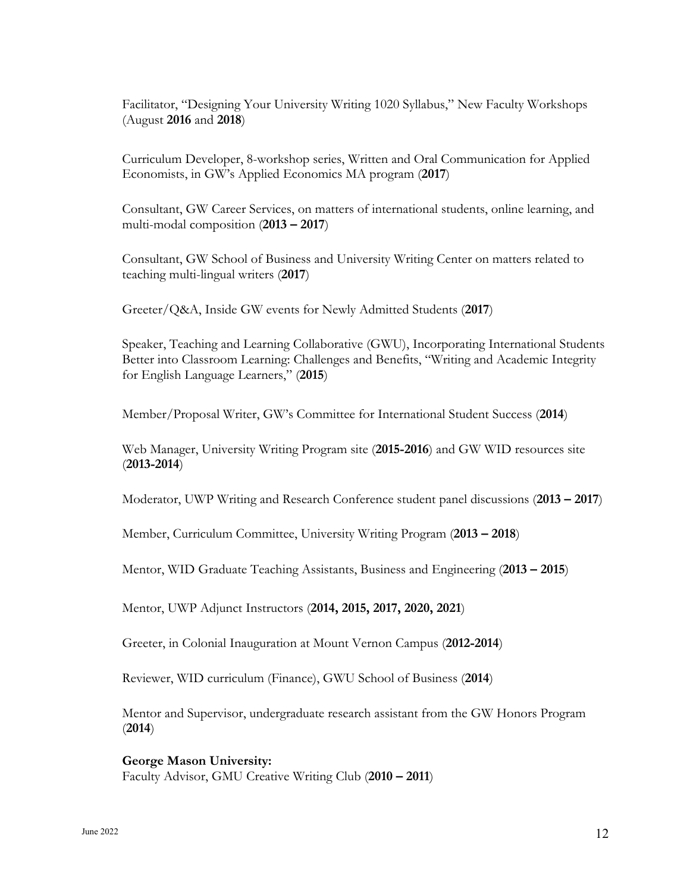Facilitator, "Designing Your University Writing 1020 Syllabus," New Faculty Workshops (August **2016** and **2018**)

Curriculum Developer, 8-workshop series, Written and Oral Communication for Applied Economists, in GW's Applied Economics MA program (**2017**)

Consultant, GW Career Services, on matters of international students, online learning, and multi-modal composition (**2013 – 2017**)

Consultant, GW School of Business and University Writing Center on matters related to teaching multi-lingual writers (**2017**)

Greeter/Q&A, Inside GW events for Newly Admitted Students (**2017**)

Speaker, Teaching and Learning Collaborative (GWU), Incorporating International Students Better into Classroom Learning: Challenges and Benefits, "Writing and Academic Integrity for English Language Learners," (**2015**)

Member/Proposal Writer, GW's Committee for International Student Success (**2014**)

Web Manager, University Writing Program site (**2015-2016**) and GW WID resources site (**2013-2014**)

Moderator, UWP Writing and Research Conference student panel discussions (**2013 – 2017**)

Member, Curriculum Committee, University Writing Program (**2013 – 2018**)

Mentor, WID Graduate Teaching Assistants, Business and Engineering (**2013 – 2015**)

Mentor, UWP Adjunct Instructors (**2014, 2015, 2017, 2020, 2021**)

Greeter, in Colonial Inauguration at Mount Vernon Campus (**2012-2014**)

Reviewer, WID curriculum (Finance), GWU School of Business (**2014**)

Mentor and Supervisor, undergraduate research assistant from the GW Honors Program (**2014**)

**George Mason University:** Faculty Advisor, GMU Creative Writing Club (**2010 – 2011**)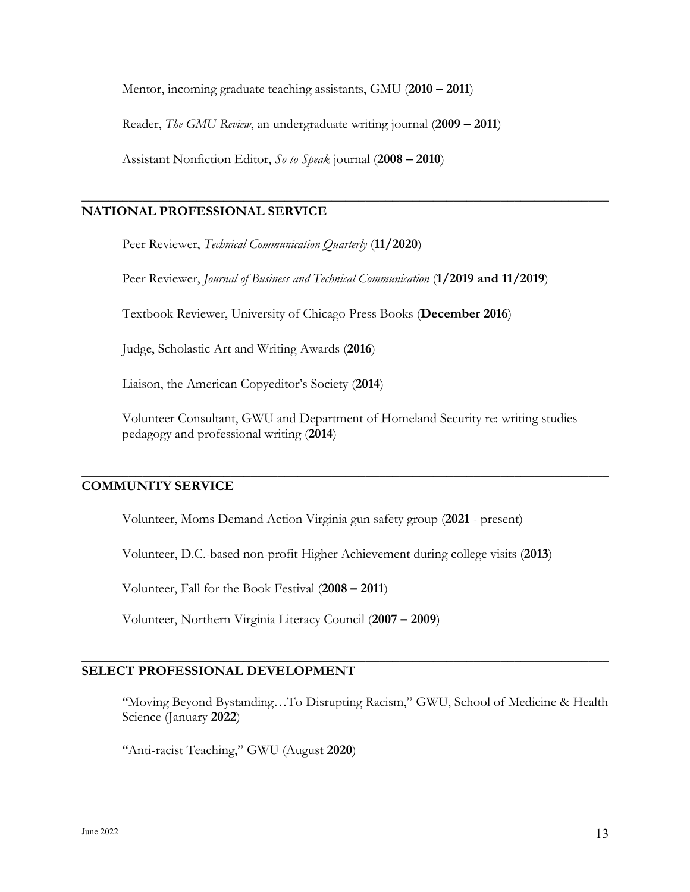Mentor, incoming graduate teaching assistants, GMU (**2010 – 2011**)

Reader, *The GMU Review*, an undergraduate writing journal (**2009 – 2011**)

Assistant Nonfiction Editor, *So to Speak* journal (**2008 – 2010**)

## **NATIONAL PROFESSIONAL SERVICE**

Peer Reviewer, *Technical Communication Quarterly* (**11/2020**)

Peer Reviewer, *Journal of Business and Technical Communication* (**1/2019 and 11/2019**)

**\_\_\_\_\_\_\_\_\_\_\_\_\_\_\_\_\_\_\_\_\_\_\_\_\_\_\_\_\_\_\_\_\_\_\_\_\_\_\_\_\_\_\_\_\_\_\_\_\_\_\_\_\_\_\_\_\_\_\_\_\_\_\_\_\_\_\_\_\_\_\_\_\_\_\_\_\_\_**

Textbook Reviewer, University of Chicago Press Books (**December 2016**)

Judge, Scholastic Art and Writing Awards (**2016**)

Liaison, the American Copyeditor's Society (**2014**)

Volunteer Consultant, GWU and Department of Homeland Security re: writing studies pedagogy and professional writing (**2014**)

**\_\_\_\_\_\_\_\_\_\_\_\_\_\_\_\_\_\_\_\_\_\_\_\_\_\_\_\_\_\_\_\_\_\_\_\_\_\_\_\_\_\_\_\_\_\_\_\_\_\_\_\_\_\_\_\_\_\_\_\_\_\_\_\_\_\_\_\_\_\_\_\_\_\_\_\_\_\_**

### **COMMUNITY SERVICE**

Volunteer, Moms Demand Action Virginia gun safety group (**2021** - present)

Volunteer, D.C.-based non-profit Higher Achievement during college visits (**2013**)

**\_\_\_\_\_\_\_\_\_\_\_\_\_\_\_\_\_\_\_\_\_\_\_\_\_\_\_\_\_\_\_\_\_\_\_\_\_\_\_\_\_\_\_\_\_\_\_\_\_\_\_\_\_\_\_\_\_\_\_\_\_\_\_\_\_\_\_\_\_\_\_\_\_\_\_\_\_\_**

Volunteer, Fall for the Book Festival (**2008 – 2011**)

Volunteer, Northern Virginia Literacy Council (**2007 – 2009**)

## **SELECT PROFESSIONAL DEVELOPMENT**

"Moving Beyond Bystanding…To Disrupting Racism," GWU, School of Medicine & Health Science (January **2022**)

"Anti-racist Teaching," GWU (August **2020**)